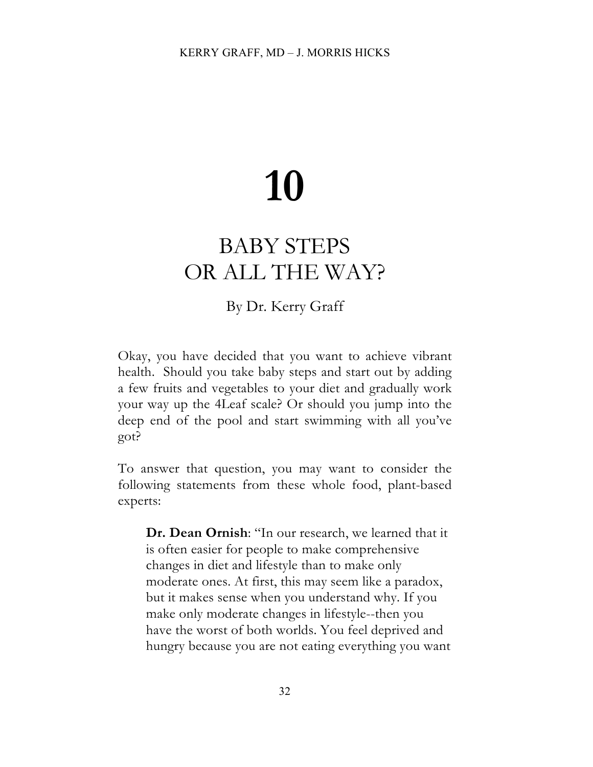# **10**

## BABY STEPS OR ALL THE WAY?

### By Dr. Kerry Graff

Okay, you have decided that you want to achieve vibrant health. Should you take baby steps and start out by adding a few fruits and vegetables to your diet and gradually work your way up the 4Leaf scale? Or should you jump into the deep end of the pool and start swimming with all you've got?

To answer that question, you may want to consider the following statements from these whole food, plant-based experts:

**Dr. Dean Ornish**: "In our research, we learned that it is often easier for people to make comprehensive changes in diet and lifestyle than to make only moderate ones. At first, this may seem like a paradox, but it makes sense when you understand why. If you make only moderate changes in lifestyle--then you have the worst of both worlds. You feel deprived and hungry because you are not eating everything you want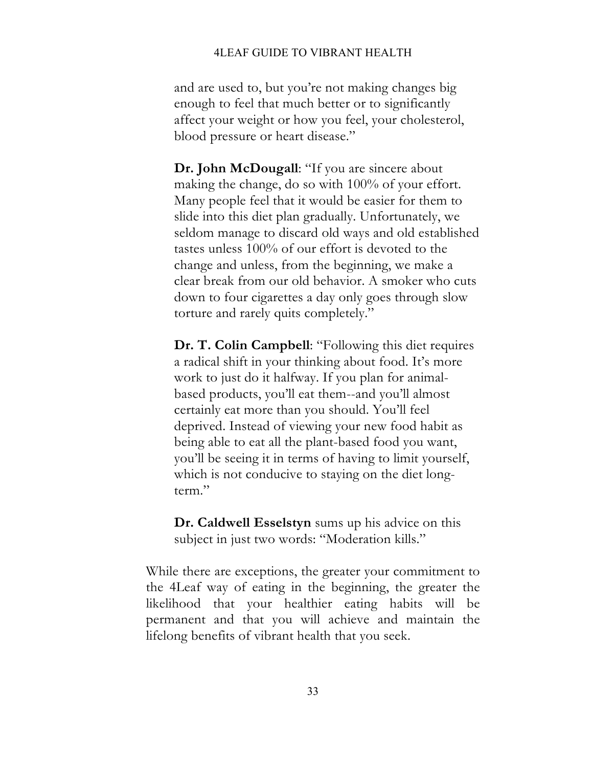#### 4LEAF GUIDE TO VIBRANT HEALTH

and are used to, but you're not making changes big enough to feel that much better or to significantly affect your weight or how you feel, your cholesterol, blood pressure or heart disease."

**Dr. John McDougall**: "If you are sincere about making the change, do so with 100% of your effort. Many people feel that it would be easier for them to slide into this diet plan gradually. Unfortunately, we seldom manage to discard old ways and old established tastes unless 100% of our effort is devoted to the change and unless, from the beginning, we make a clear break from our old behavior. A smoker who cuts down to four cigarettes a day only goes through slow torture and rarely quits completely."

**Dr. T. Colin Campbell**: "Following this diet requires a radical shift in your thinking about food. It's more work to just do it halfway. If you plan for animalbased products, you'll eat them--and you'll almost certainly eat more than you should. You'll feel deprived. Instead of viewing your new food habit as being able to eat all the plant-based food you want, you'll be seeing it in terms of having to limit yourself, which is not conducive to staying on the diet longterm."

**Dr. Caldwell Esselstyn** sums up his advice on this subject in just two words: "Moderation kills."

While there are exceptions, the greater your commitment to the 4Leaf way of eating in the beginning, the greater the likelihood that your healthier eating habits will be permanent and that you will achieve and maintain the lifelong benefits of vibrant health that you seek.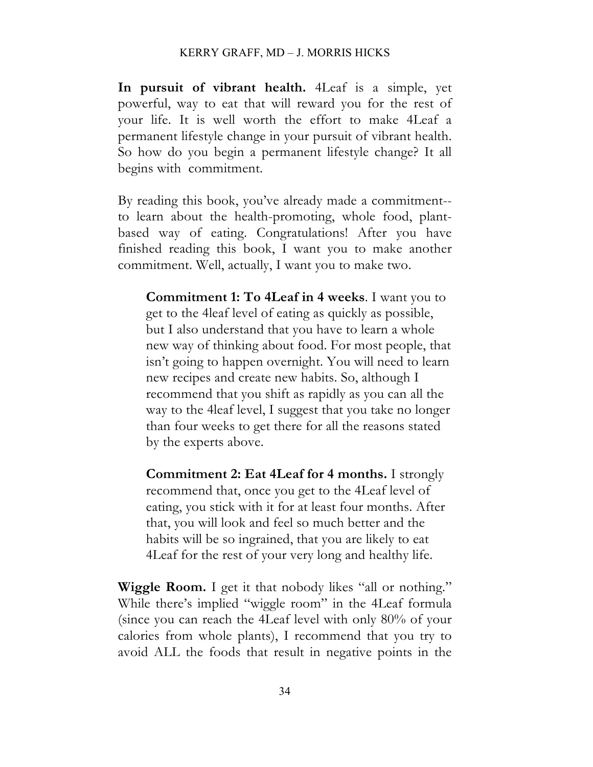#### KERRY GRAFF, MD – J. MORRIS HICKS

**In pursuit of vibrant health.** 4Leaf is a simple, yet powerful, way to eat that will reward you for the rest of your life. It is well worth the effort to make 4Leaf a permanent lifestyle change in your pursuit of vibrant health. So how do you begin a permanent lifestyle change? It all begins with commitment.

By reading this book, you've already made a commitment- to learn about the health-promoting, whole food, plantbased way of eating. Congratulations! After you have finished reading this book, I want you to make another commitment. Well, actually, I want you to make two.

**Commitment 1: To 4Leaf in 4 weeks**. I want you to get to the 4leaf level of eating as quickly as possible, but I also understand that you have to learn a whole new way of thinking about food. For most people, that isn't going to happen overnight. You will need to learn new recipes and create new habits. So, although I recommend that you shift as rapidly as you can all the way to the 4leaf level, I suggest that you take no longer than four weeks to get there for all the reasons stated by the experts above.

**Commitment 2: Eat 4Leaf for 4 months.** I strongly recommend that, once you get to the 4Leaf level of eating, you stick with it for at least four months. After that, you will look and feel so much better and the habits will be so ingrained, that you are likely to eat 4Leaf for the rest of your very long and healthy life.

**Wiggle Room.** I get it that nobody likes "all or nothing." While there's implied "wiggle room" in the 4Leaf formula (since you can reach the 4Leaf level with only 80% of your calories from whole plants), I recommend that you try to avoid ALL the foods that result in negative points in the